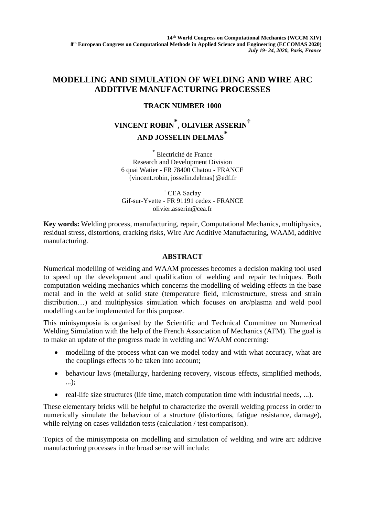## **MODELLING AND SIMULATION OF WELDING AND WIRE ARC ADDITIVE MANUFACTURING PROCESSES**

## **TRACK NUMBER 1000**

## **VINCENT ROBIN \* , OLIVIER ASSERIN† AND JOSSELIN DELMAS \***

\* Electricité de France Research and Development Division 6 quai Watier - FR 78400 Chatou - FRANCE {vincent.robin, josselin.delmas}@edf.fr

† CEA Saclay Gif-sur-Yvette - FR 91191 cedex - FRANCE olivier.asserin@cea.fr

**Key words:** Welding process, manufacturing, repair, Computational Mechanics, multiphysics, residual stress, distortions, cracking risks, Wire Arc Additive Manufacturing, WAAM, additive manufacturing.

## **ABSTRACT**

Numerical modelling of welding and WAAM processes becomes a decision making tool used to speed up the development and qualification of welding and repair techniques. Both computation welding mechanics which concerns the modelling of welding effects in the base metal and in the weld at solid state (temperature field, microstructure, stress and strain distribution…) and multiphysics simulation which focuses on arc/plasma and weld pool modelling can be implemented for this purpose.

This minisymposia is organised by the Scientific and Technical Committee on Numerical Welding Simulation with the help of the [French Association of Mechanics](http://afm.asso.fr/) (AFM). The goal is to make an update of the progress made in welding and WAAM concerning:

- modelling of the process what can we model today and with what accuracy, what are the couplings effects to be taken into account;
- behaviour laws (metallurgy, hardening recovery, viscous effects, simplified methods, ...);
- real-life size structures (life time, match computation time with industrial needs, ...).

These elementary bricks will be helpful to characterize the overall welding process in order to numerically simulate the behaviour of a structure (distortions, fatigue resistance, damage), while relying on cases validation tests (calculation / test comparison).

Topics of the minisymposia on modelling and simulation of welding and wire arc additive manufacturing processes in the broad sense will include: